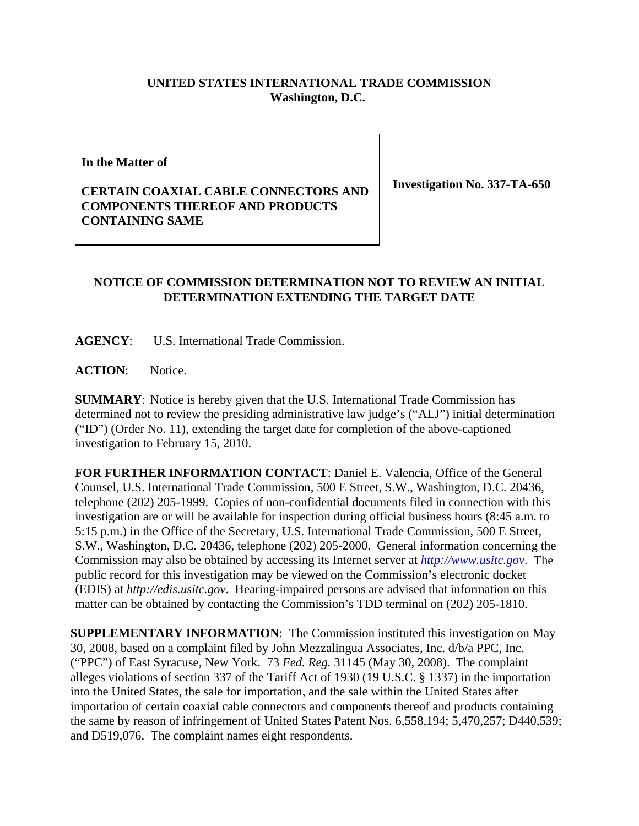## **UNITED STATES INTERNATIONAL TRADE COMMISSION Washington, D.C.**

**In the Matter of** 

## **CERTAIN COAXIAL CABLE CONNECTORS AND COMPONENTS THEREOF AND PRODUCTS CONTAINING SAME**

**Investigation No. 337-TA-650**

## **NOTICE OF COMMISSION DETERMINATION NOT TO REVIEW AN INITIAL DETERMINATION EXTENDING THE TARGET DATE**

**AGENCY**: U.S. International Trade Commission.

**ACTION**: Notice.

**SUMMARY**: Notice is hereby given that the U.S. International Trade Commission has determined not to review the presiding administrative law judge's ("ALJ") initial determination ("ID") (Order No. 11), extending the target date for completion of the above-captioned investigation to February 15, 2010.

**FOR FURTHER INFORMATION CONTACT**: Daniel E. Valencia, Office of the General Counsel, U.S. International Trade Commission, 500 E Street, S.W., Washington, D.C. 20436, telephone (202) 205-1999. Copies of non-confidential documents filed in connection with this investigation are or will be available for inspection during official business hours (8:45 a.m. to 5:15 p.m.) in the Office of the Secretary, U.S. International Trade Commission, 500 E Street, S.W., Washington, D.C. 20436, telephone (202) 205-2000. General information concerning the Commission may also be obtained by accessing its Internet server at *http://www.usitc.gov*. The public record for this investigation may be viewed on the Commission's electronic docket (EDIS) at *http://edis.usitc.gov*. Hearing-impaired persons are advised that information on this matter can be obtained by contacting the Commission's TDD terminal on (202) 205-1810.

**SUPPLEMENTARY INFORMATION**: The Commission instituted this investigation on May 30, 2008, based on a complaint filed by John Mezzalingua Associates, Inc. d/b/a PPC, Inc. ("PPC") of East Syracuse, New York. 73 *Fed. Reg.* 31145 (May 30, 2008). The complaint alleges violations of section 337 of the Tariff Act of 1930 (19 U.S.C. § 1337) in the importation into the United States, the sale for importation, and the sale within the United States after importation of certain coaxial cable connectors and components thereof and products containing the same by reason of infringement of United States Patent Nos. 6,558,194; 5,470,257; D440,539; and D519,076. The complaint names eight respondents.